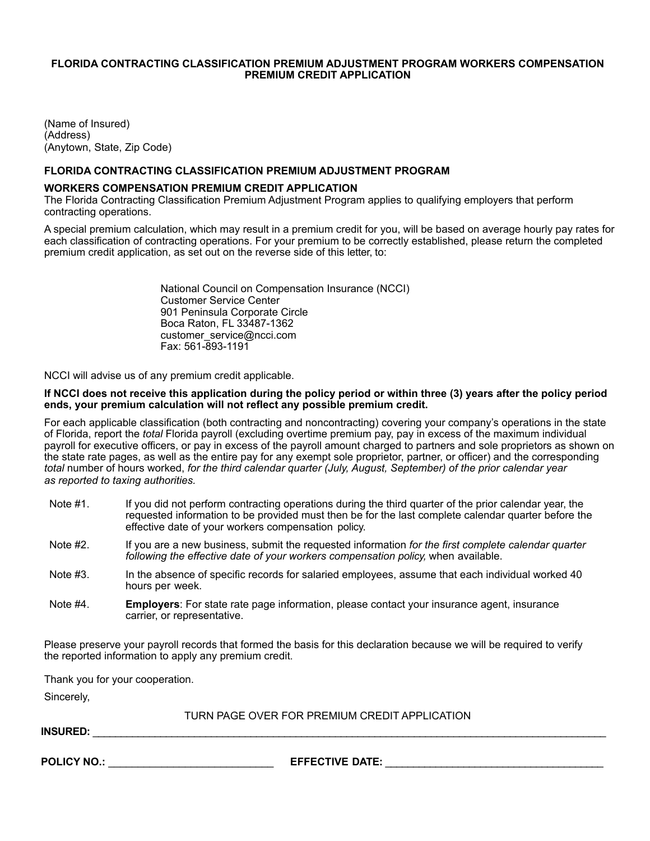### **FLORIDA CONTRACTING CLASSIFICATION PREMIUM ADJUSTMENT PROGRAM WORKERS COMPENSATION PREMIUM CREDIT APPLICATION**

(Name of Insured) (Address) (Anytown, State, Zip Code)

#### **FLORIDA CONTRACTING CLASSIFICATION PREMIUM ADJUSTMENT PROGRAM**

#### **WORKERS COMPENSATION PREMIUM CREDIT APPLICATION**

The Florida Contracting Classification Premium Adjustment Program applies to qualifying employers that perform contracting operations.

A special premium calculation, which may result in a premium credit for you, will be based on average hourly pay rates for each classification of contracting operations. For your premium to be correctly established, please return the completed premium credit application, as set out on the reverse side of this letter, to:

> National Council on Compensation Insurance (NCCI) Customer Service Center 901 Peninsula Corporate Circle Boca Raton, FL 33487-1362 [customer\\_service@ncci.com](mailto:customer_service@ncci.com) Fax: 561-893-1191

NCCI will advise us of any premium credit applicable.

#### **If NCCI does not receive this application during the policy period or within three (3) years after the policy period ends, your premium calculation will not reflect any possible premium credit.**

For each applicable classification (both contracting and noncontracting) covering your company's operations in the state of Florida, report the *total* Florida payroll (excluding overtime premium pay, pay in excess of the maximum individual payroll for executive officers, or pay in excess of the payroll amount charged to partners and sole proprietors as shown on the state rate pages, as well as the entire pay for any exempt sole proprietor, partner, or officer) and the corresponding *total* number of hours worked, *for the third calendar quarter (July, August, September) of the prior calendar year as reported to taxing authorities.*

- Note #1. If you did not perform contracting operations during the third quarter of the prior calendar year, the requested information to be provided must then be for the last complete calendar quarter before the effective date of your workers compensation policy.
- Note #2. If you are a new business, submit the requested information *for the first complete calendar quarter following the effective date of your workers compensation policy,* when available.
- Note #3. In the absence of specific records for salaried employees, assume that each individual worked 40 hours per week.
- Note #4. **Employers**: For state rate page information, please contact your insurance agent, insurance carrier, or representative.

Please preserve your payroll records that formed the basis for this declaration because we will be required to verify the reported information to apply any premium credit.

Thank you for your cooperation.

Sincerely,

TURN PAGE OVER FOR PREMIUM CREDIT APPLICATION

**INSURED:** \_\_\_\_\_\_\_\_\_\_\_\_\_\_\_\_\_\_\_\_\_\_\_\_\_\_\_\_\_\_\_\_\_\_\_\_\_\_\_\_\_\_\_\_\_\_\_\_\_\_\_\_\_\_\_\_\_\_\_\_\_\_\_\_\_\_\_\_\_\_\_\_\_\_\_\_\_\_\_\_\_\_\_\_\_\_\_\_\_\_\_

**POLICY NO.:** \_\_\_\_\_\_\_\_\_\_\_\_\_\_\_\_\_\_\_\_\_\_\_\_\_\_\_\_ **EFFECTIVE DATE:** \_\_\_\_\_\_\_\_\_\_\_\_\_\_\_\_\_\_\_\_\_\_\_\_\_\_\_\_\_\_\_\_\_\_\_\_\_\_\_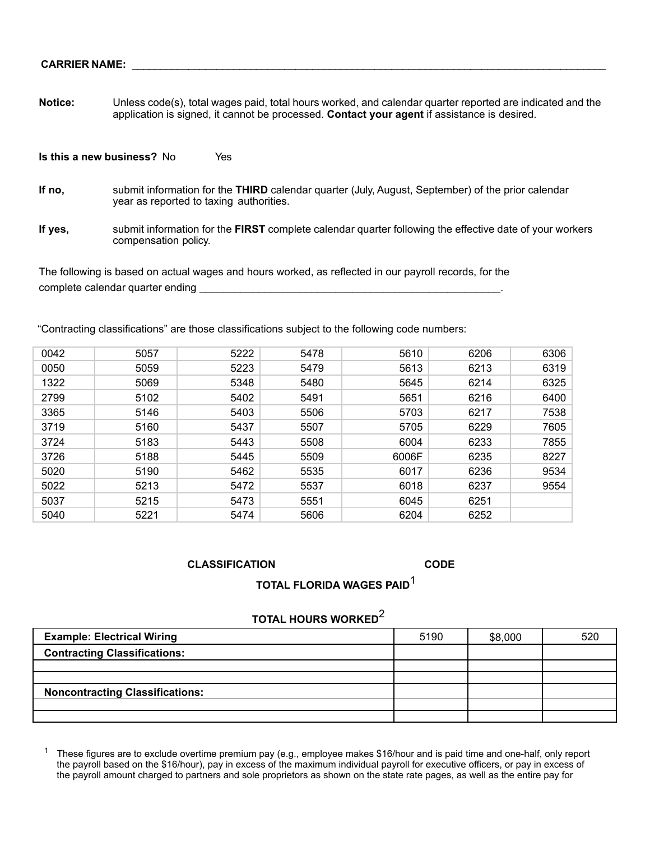**Notice:** Unless code(s), total wages paid, total hours worked, and calendar quarter reported are indicated and the application is signed, it cannot be processed. **Contact your agent** if assistance is desired.

**Is this a new business?** No Yes

- **If no,** submit information for the **THIRD** calendar quarter (July, August, September) of the prior calendar year as reported to taxing authorities.
- **If yes,** submit information for the **FIRST** complete calendar quarter following the effective date of your workers compensation policy.

The following is based on actual wages and hours worked, as reflected in our payroll records, for the complete calendar quarter ending \_\_\_\_\_\_\_\_\_\_\_\_\_\_\_\_\_\_\_\_\_\_\_\_\_\_\_\_\_\_\_\_\_\_\_\_\_\_\_\_\_\_\_\_\_\_\_\_\_\_\_.

"Contracting classifications" are those classifications subject to the following code numbers:

| 0042 | 5057 | 5222 | 5478 | 5610  | 6206 | 6306 |
|------|------|------|------|-------|------|------|
| 0050 | 5059 | 5223 | 5479 | 5613  | 6213 | 6319 |
| 1322 | 5069 | 5348 | 5480 | 5645  | 6214 | 6325 |
| 2799 | 5102 | 5402 | 5491 | 5651  | 6216 | 6400 |
| 3365 | 5146 | 5403 | 5506 | 5703  | 6217 | 7538 |
| 3719 | 5160 | 5437 | 5507 | 5705  | 6229 | 7605 |
| 3724 | 5183 | 5443 | 5508 | 6004  | 6233 | 7855 |
| 3726 | 5188 | 5445 | 5509 | 6006F | 6235 | 8227 |
| 5020 | 5190 | 5462 | 5535 | 6017  | 6236 | 9534 |
| 5022 | 5213 | 5472 | 5537 | 6018  | 6237 | 9554 |
| 5037 | 5215 | 5473 | 5551 | 6045  | 6251 |      |
| 5040 | 5221 | 5474 | 5606 | 6204  | 6252 |      |

#### **CLASSIFICATION CODE**

# **TOTAL FLORIDA WAGES PAID**<sup>1</sup>

## **TOTAL HOURS WORKED**<sup>2</sup>

| <b>Example: Electrical Wiring</b>      | 5190 | \$8,000 | 520 |
|----------------------------------------|------|---------|-----|
| <b>Contracting Classifications:</b>    |      |         |     |
|                                        |      |         |     |
|                                        |      |         |     |
| <b>Noncontracting Classifications:</b> |      |         |     |
|                                        |      |         |     |
|                                        |      |         |     |

<sup>1</sup> These figures are to exclude overtime premium pay (e.g., employee makes \$16/hour and is paid time and one-half, only report the payroll based on the \$16/hour), pay in excess of the maximum individual payroll for executive officers, or pay in excess of the payroll amount charged to partners and sole proprietors as shown on the state rate pages, as well as the entire pay for